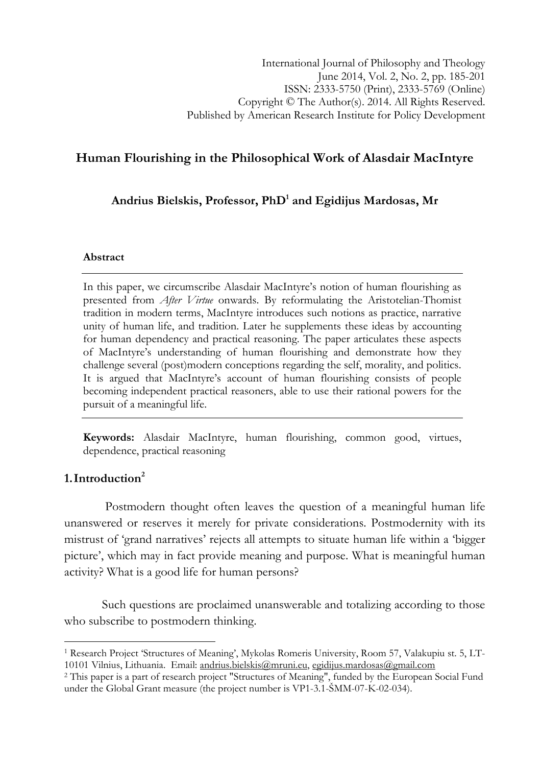# Human Flourishing in the Philosophical Work of Alasdair MacIntyre

Andrius Bielskis, Professor, Ph $\rm D^1$  and Egidijus Mardosas, Mr

## Abstract

In this paper, we circumscribe Alasdair MacIntyre's notion of human flourishing as presented from After Virtue onwards. By reformulating the Aristotelian-Thomist tradition in modern terms, MacIntyre introduces such notions as practice, narrative unity of human life, and tradition. Later he supplements these ideas by accounting for human dependency and practical reasoning. The paper articulates these aspects of MacIntyre's understanding of human flourishing and demonstrate how they challenge several (post)modern conceptions regarding the self, morality, and politics. It is argued that MacIntyre's account of human flourishing consists of people becoming independent practical reasoners, able to use their rational powers for the pursuit of a meaningful life.

Keywords: Alasdair MacIntyre, human flourishing, common good, virtues, dependence, practical reasoning

## 1. Introduction $2$

l

 Postmodern thought often leaves the question of a meaningful human life unanswered or reserves it merely for private considerations. Postmodernity with its mistrust of 'grand narratives' rejects all attempts to situate human life within a 'bigger picture', which may in fact provide meaning and purpose. What is meaningful human activity? What is a good life for human persons?

Such questions are proclaimed unanswerable and totalizing according to those who subscribe to postmodern thinking.

<sup>1</sup> Research Project 'Structures of Meaning', Mykolas Romeris University, Room 57, Valakupiu st. 5, LT-10101 Vilnius, Lithuania. Email: andrius.bielskis@mruni.eu, egidijus.mardosas@gmail.com

<sup>2</sup> This paper is a part of research project "Structures of Meaning", funded by the European Social Fund under the Global Grant measure (the project number is VP1-3.1-ŠMM-07-K-02-034).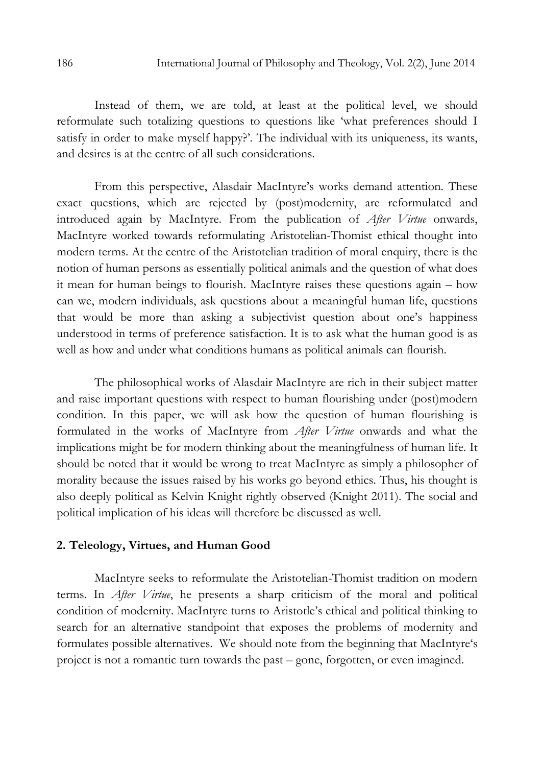Instead of them, we are told, at least at the political level, we should reformulate such totalizing questions to questions like 'what preferences should I satisfy in order to make myself happy?'. The individual with its uniqueness, its wants, and desires is at the centre of all such considerations.

From this perspective, Alasdair MacIntyre's works demand attention. These exact questions, which are rejected by (post)modernity, are reformulated and introduced again by MacIntyre. From the publication of After Virtue onwards, MacIntyre worked towards reformulating Aristotelian-Thomist ethical thought into modern terms. At the centre of the Aristotelian tradition of moral enquiry, there is the notion of human persons as essentially political animals and the question of what does it mean for human beings to flourish. MacIntyre raises these questions again – how can we, modern individuals, ask questions about a meaningful human life, questions that would be more than asking a subjectivist question about one's happiness understood in terms of preference satisfaction. It is to ask what the human good is as well as how and under what conditions humans as political animals can flourish.

The philosophical works of Alasdair MacIntyre are rich in their subject matter and raise important questions with respect to human flourishing under (post)modern condition. In this paper, we will ask how the question of human flourishing is formulated in the works of MacIntyre from *After Virtue* onwards and what the implications might be for modern thinking about the meaningfulness of human life. It should be noted that it would be wrong to treat MacIntyre as simply a philosopher of morality because the issues raised by his works go beyond ethics. Thus, his thought is also deeply political as Kelvin Knight rightly observed (Knight 2011). The social and political implication of his ideas will therefore be discussed as well.

## 2. Teleology, Virtues, and Human Good

MacIntyre seeks to reformulate the Aristotelian-Thomist tradition on modern terms. In After Virtue, he presents a sharp criticism of the moral and political condition of modernity. MacIntyre turns to Aristotle's ethical and political thinking to search for an alternative standpoint that exposes the problems of modernity and formulates possible alternatives. We should note from the beginning that MacIntyre's project is not a romantic turn towards the past – gone, forgotten, or even imagined.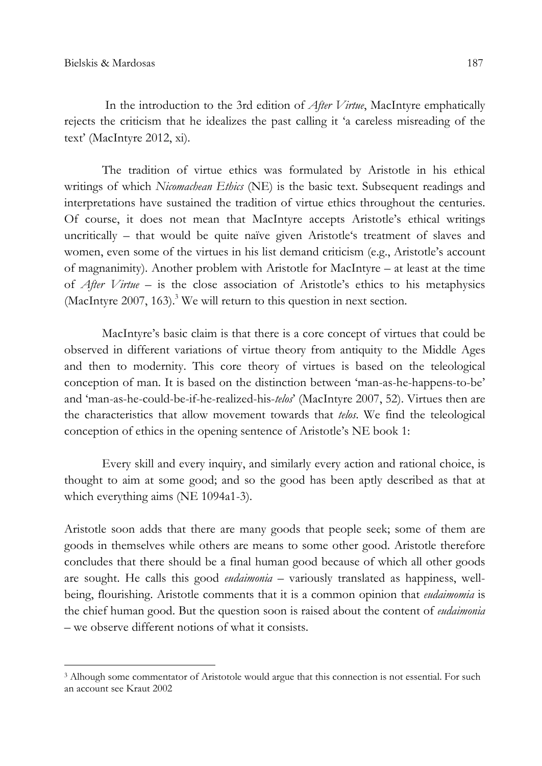l

In the introduction to the 3rd edition of *After Virtue*, MacIntyre emphatically rejects the criticism that he idealizes the past calling it 'a careless misreading of the text' (MacIntyre 2012, xi).

The tradition of virtue ethics was formulated by Aristotle in his ethical writings of which Nicomachean Ethics (NE) is the basic text. Subsequent readings and interpretations have sustained the tradition of virtue ethics throughout the centuries. Of course, it does not mean that MacIntyre accepts Aristotle's ethical writings uncritically – that would be quite naïve given Aristotle's treatment of slaves and women, even some of the virtues in his list demand criticism (e.g., Aristotle's account of magnanimity). Another problem with Aristotle for MacIntyre – at least at the time of After Virtue – is the close association of Aristotle's ethics to his metaphysics (MacIntyre 2007, 163).<sup>3</sup> We will return to this question in next section.

MacIntyre's basic claim is that there is a core concept of virtues that could be observed in different variations of virtue theory from antiquity to the Middle Ages and then to modernity. This core theory of virtues is based on the teleological conception of man. It is based on the distinction between 'man-as-he-happens-to-be' and 'man-as-he-could-be-if-he-realized-his-telos' (MacIntyre 2007, 52). Virtues then are the characteristics that allow movement towards that *telos*. We find the teleological conception of ethics in the opening sentence of Aristotle's NE book 1:

Every skill and every inquiry, and similarly every action and rational choice, is thought to aim at some good; and so the good has been aptly described as that at which everything aims (NE 1094a1-3).

Aristotle soon adds that there are many goods that people seek; some of them are goods in themselves while others are means to some other good. Aristotle therefore concludes that there should be a final human good because of which all other goods are sought. He calls this good *eudaimonia* – variously translated as happiness, wellbeing, flourishing. Aristotle comments that it is a common opinion that *eudaimomia* is the chief human good. But the question soon is raised about the content of *eudaimonia* – we observe different notions of what it consists.

<sup>3</sup> Alhough some commentator of Aristotole would argue that this connection is not essential. For such an account see Kraut 2002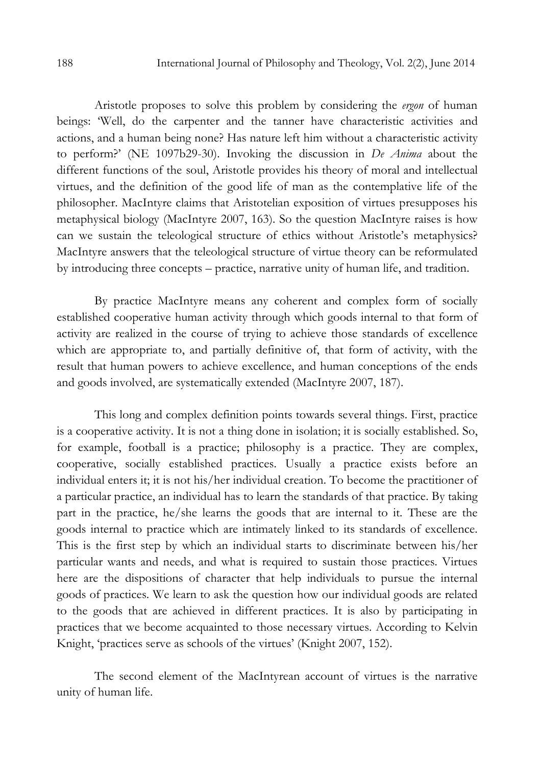Aristotle proposes to solve this problem by considering the ergon of human beings: 'Well, do the carpenter and the tanner have characteristic activities and actions, and a human being none? Has nature left him without a characteristic activity to perform?' (NE 1097b29-30). Invoking the discussion in De Anima about the different functions of the soul, Aristotle provides his theory of moral and intellectual virtues, and the definition of the good life of man as the contemplative life of the philosopher. MacIntyre claims that Aristotelian exposition of virtues presupposes his metaphysical biology (MacIntyre 2007, 163). So the question MacIntyre raises is how can we sustain the teleological structure of ethics without Aristotle's metaphysics? MacIntyre answers that the teleological structure of virtue theory can be reformulated by introducing three concepts – practice, narrative unity of human life, and tradition.

By practice MacIntyre means any coherent and complex form of socially established cooperative human activity through which goods internal to that form of activity are realized in the course of trying to achieve those standards of excellence which are appropriate to, and partially definitive of, that form of activity, with the result that human powers to achieve excellence, and human conceptions of the ends and goods involved, are systematically extended (MacIntyre 2007, 187).

This long and complex definition points towards several things. First, practice is a cooperative activity. It is not a thing done in isolation; it is socially established. So, for example, football is a practice; philosophy is a practice. They are complex, cooperative, socially established practices. Usually a practice exists before an individual enters it; it is not his/her individual creation. To become the practitioner of a particular practice, an individual has to learn the standards of that practice. By taking part in the practice, he/she learns the goods that are internal to it. These are the goods internal to practice which are intimately linked to its standards of excellence. This is the first step by which an individual starts to discriminate between his/her particular wants and needs, and what is required to sustain those practices. Virtues here are the dispositions of character that help individuals to pursue the internal goods of practices. We learn to ask the question how our individual goods are related to the goods that are achieved in different practices. It is also by participating in practices that we become acquainted to those necessary virtues. According to Kelvin Knight, 'practices serve as schools of the virtues' (Knight 2007, 152).

The second element of the MacIntyrean account of virtues is the narrative unity of human life.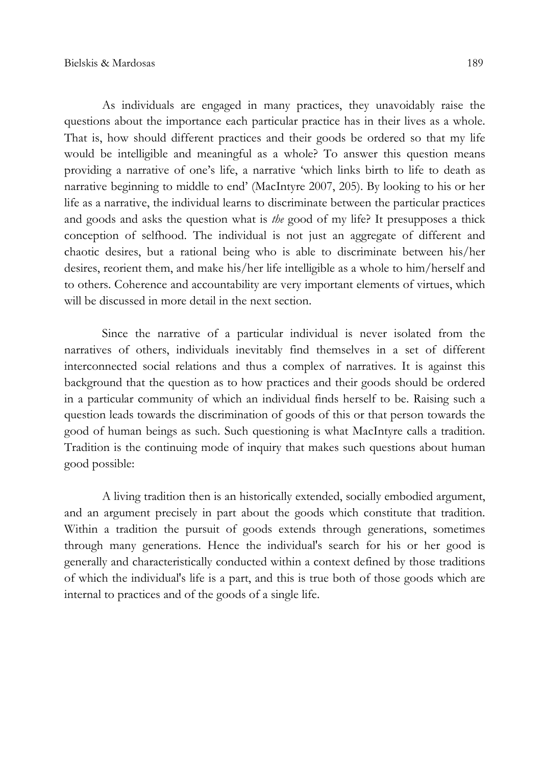As individuals are engaged in many practices, they unavoidably raise the questions about the importance each particular practice has in their lives as a whole. That is, how should different practices and their goods be ordered so that my life would be intelligible and meaningful as a whole? To answer this question means providing a narrative of one's life, a narrative 'which links birth to life to death as narrative beginning to middle to end' (MacIntyre 2007, 205). By looking to his or her life as a narrative, the individual learns to discriminate between the particular practices and goods and asks the question what is *the* good of my life? It presupposes a thick conception of selfhood. The individual is not just an aggregate of different and chaotic desires, but a rational being who is able to discriminate between his/her desires, reorient them, and make his/her life intelligible as a whole to him/herself and to others. Coherence and accountability are very important elements of virtues, which will be discussed in more detail in the next section.

Since the narrative of a particular individual is never isolated from the narratives of others, individuals inevitably find themselves in a set of different interconnected social relations and thus a complex of narratives. It is against this background that the question as to how practices and their goods should be ordered in a particular community of which an individual finds herself to be. Raising such a question leads towards the discrimination of goods of this or that person towards the good of human beings as such. Such questioning is what MacIntyre calls a tradition. Tradition is the continuing mode of inquiry that makes such questions about human good possible:

A living tradition then is an historically extended, socially embodied argument, and an argument precisely in part about the goods which constitute that tradition. Within a tradition the pursuit of goods extends through generations, sometimes through many generations. Hence the individual's search for his or her good is generally and characteristically conducted within a context defined by those traditions of which the individual's life is a part, and this is true both of those goods which are internal to practices and of the goods of a single life.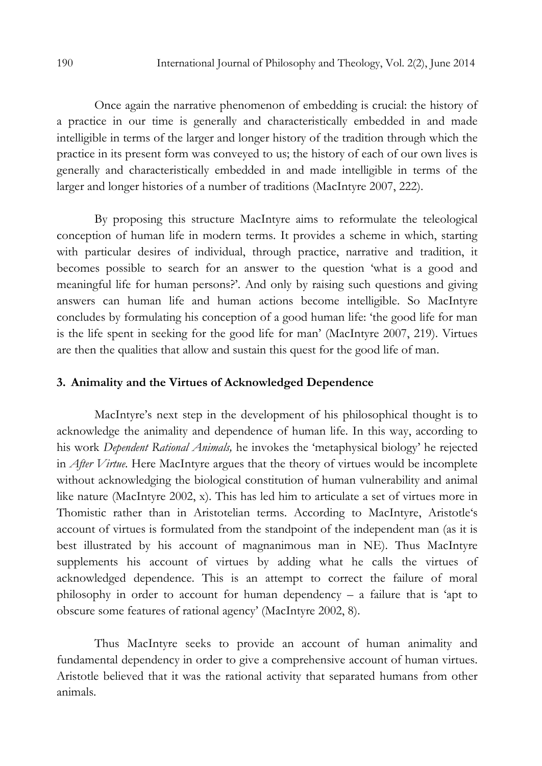Once again the narrative phenomenon of embedding is crucial: the history of a practice in our time is generally and characteristically embedded in and made intelligible in terms of the larger and longer history of the tradition through which the practice in its present form was conveyed to us; the history of each of our own lives is generally and characteristically embedded in and made intelligible in terms of the larger and longer histories of a number of traditions (MacIntyre 2007, 222).

By proposing this structure MacIntyre aims to reformulate the teleological conception of human life in modern terms. It provides a scheme in which, starting with particular desires of individual, through practice, narrative and tradition, it becomes possible to search for an answer to the question 'what is a good and meaningful life for human persons?'. And only by raising such questions and giving answers can human life and human actions become intelligible. So MacIntyre concludes by formulating his conception of a good human life: 'the good life for man is the life spent in seeking for the good life for man' (MacIntyre 2007, 219). Virtues are then the qualities that allow and sustain this quest for the good life of man.

#### 3. Animality and the Virtues of Acknowledged Dependence

MacIntyre's next step in the development of his philosophical thought is to acknowledge the animality and dependence of human life. In this way, according to his work Dependent Rational Animals, he invokes the 'metaphysical biology' he rejected in *After Virtue*. Here MacIntyre argues that the theory of virtues would be incomplete without acknowledging the biological constitution of human vulnerability and animal like nature (MacIntyre 2002, x). This has led him to articulate a set of virtues more in Thomistic rather than in Aristotelian terms. According to MacIntyre, Aristotle's account of virtues is formulated from the standpoint of the independent man (as it is best illustrated by his account of magnanimous man in NE). Thus MacIntyre supplements his account of virtues by adding what he calls the virtues of acknowledged dependence. This is an attempt to correct the failure of moral philosophy in order to account for human dependency – a failure that is 'apt to obscure some features of rational agency' (MacIntyre 2002, 8).

Thus MacIntyre seeks to provide an account of human animality and fundamental dependency in order to give a comprehensive account of human virtues. Aristotle believed that it was the rational activity that separated humans from other animals.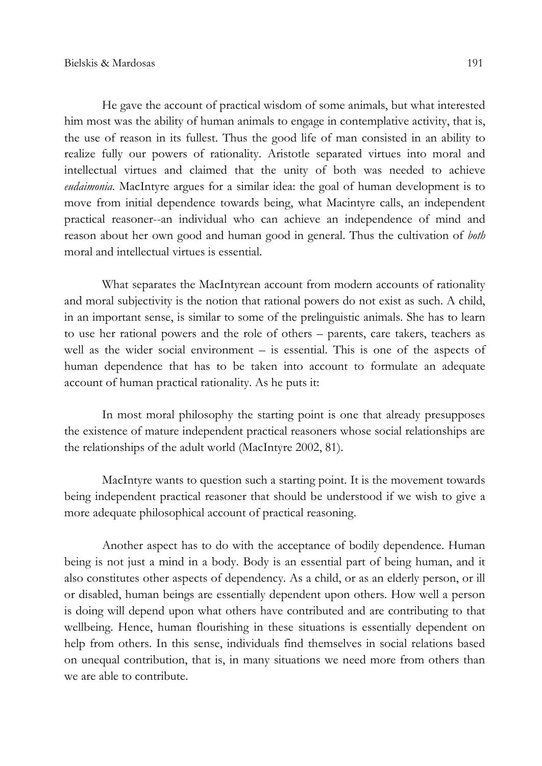He gave the account of practical wisdom of some animals, but what interested him most was the ability of human animals to engage in contemplative activity, that is, the use of reason in its fullest. Thus the good life of man consisted in an ability to realize fully our powers of rationality. Aristotle separated virtues into moral and intellectual virtues and claimed that the unity of both was needed to achieve eudaimonia. MacIntyre argues for a similar idea: the goal of human development is to move from initial dependence towards being, what Macintyre calls, an independent practical reasoner--an individual who can achieve an independence of mind and reason about her own good and human good in general. Thus the cultivation of *both* moral and intellectual virtues is essential.

What separates the MacIntyrean account from modern accounts of rationality and moral subjectivity is the notion that rational powers do not exist as such. A child, in an important sense, is similar to some of the prelinguistic animals. She has to learn to use her rational powers and the role of others – parents, care takers, teachers as well as the wider social environment – is essential. This is one of the aspects of human dependence that has to be taken into account to formulate an adequate account of human practical rationality. As he puts it:

In most moral philosophy the starting point is one that already presupposes the existence of mature independent practical reasoners whose social relationships are the relationships of the adult world (MacIntyre 2002, 81).

MacIntyre wants to question such a starting point. It is the movement towards being independent practical reasoner that should be understood if we wish to give a more adequate philosophical account of practical reasoning.

Another aspect has to do with the acceptance of bodily dependence. Human being is not just a mind in a body. Body is an essential part of being human, and it also constitutes other aspects of dependency. As a child, or as an elderly person, or ill or disabled, human beings are essentially dependent upon others. How well a person is doing will depend upon what others have contributed and are contributing to that wellbeing. Hence, human flourishing in these situations is essentially dependent on help from others. In this sense, individuals find themselves in social relations based on unequal contribution, that is, in many situations we need more from others than we are able to contribute.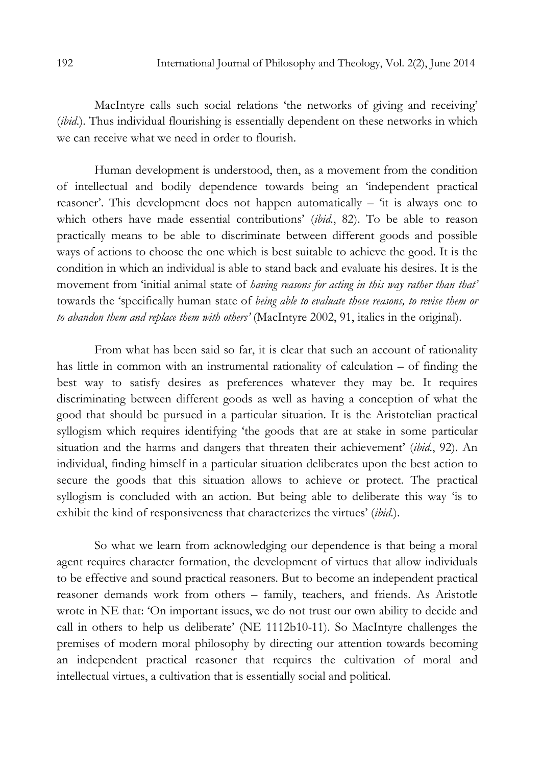MacIntyre calls such social relations 'the networks of giving and receiving' (ibid.). Thus individual flourishing is essentially dependent on these networks in which we can receive what we need in order to flourish.

Human development is understood, then, as a movement from the condition of intellectual and bodily dependence towards being an 'independent practical reasoner'. This development does not happen automatically – 'it is always one to which others have made essential contributions' (*ibid.*, 82). To be able to reason practically means to be able to discriminate between different goods and possible ways of actions to choose the one which is best suitable to achieve the good. It is the condition in which an individual is able to stand back and evaluate his desires. It is the movement from 'initial animal state of *having reasons for acting in this way rather than that*' towards the 'specifically human state of *being able to evaluate those reasons, to revise them or* to abandon them and replace them with others' (MacIntyre 2002, 91, italics in the original).

From what has been said so far, it is clear that such an account of rationality has little in common with an instrumental rationality of calculation – of finding the best way to satisfy desires as preferences whatever they may be. It requires discriminating between different goods as well as having a conception of what the good that should be pursued in a particular situation. It is the Aristotelian practical syllogism which requires identifying 'the goods that are at stake in some particular situation and the harms and dangers that threaten their achievement' (ibid., 92). An individual, finding himself in a particular situation deliberates upon the best action to secure the goods that this situation allows to achieve or protect. The practical syllogism is concluded with an action. But being able to deliberate this way 'is to exhibit the kind of responsiveness that characterizes the virtues' (ibid.).

So what we learn from acknowledging our dependence is that being a moral agent requires character formation, the development of virtues that allow individuals to be effective and sound practical reasoners. But to become an independent practical reasoner demands work from others – family, teachers, and friends. As Aristotle wrote in NE that: 'On important issues, we do not trust our own ability to decide and call in others to help us deliberate' (NE 1112b10-11). So MacIntyre challenges the premises of modern moral philosophy by directing our attention towards becoming an independent practical reasoner that requires the cultivation of moral and intellectual virtues, a cultivation that is essentially social and political.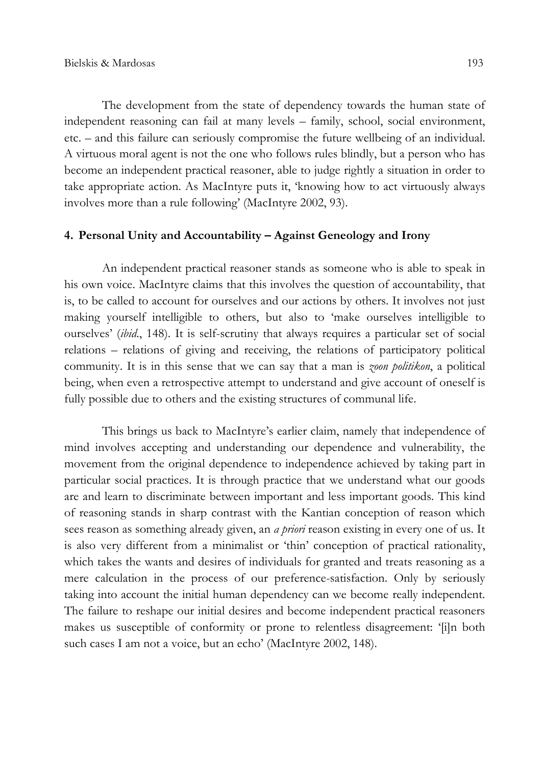The development from the state of dependency towards the human state of independent reasoning can fail at many levels – family, school, social environment, etc. – and this failure can seriously compromise the future wellbeing of an individual. A virtuous moral agent is not the one who follows rules blindly, but a person who has become an independent practical reasoner, able to judge rightly a situation in order to take appropriate action. As MacIntyre puts it, 'knowing how to act virtuously always involves more than a rule following' (MacIntyre 2002, 93).

## 4. Personal Unity and Accountability – Against Geneology and Irony

An independent practical reasoner stands as someone who is able to speak in his own voice. MacIntyre claims that this involves the question of accountability, that is, to be called to account for ourselves and our actions by others. It involves not just making yourself intelligible to others, but also to 'make ourselves intelligible to ourselves' (ibid., 148). It is self-scrutiny that always requires a particular set of social relations – relations of giving and receiving, the relations of participatory political community. It is in this sense that we can say that a man is *zoon politikon*, a political being, when even a retrospective attempt to understand and give account of oneself is fully possible due to others and the existing structures of communal life.

This brings us back to MacIntyre's earlier claim, namely that independence of mind involves accepting and understanding our dependence and vulnerability, the movement from the original dependence to independence achieved by taking part in particular social practices. It is through practice that we understand what our goods are and learn to discriminate between important and less important goods. This kind of reasoning stands in sharp contrast with the Kantian conception of reason which sees reason as something already given, an *a priori* reason existing in every one of us. It is also very different from a minimalist or 'thin' conception of practical rationality, which takes the wants and desires of individuals for granted and treats reasoning as a mere calculation in the process of our preference-satisfaction. Only by seriously taking into account the initial human dependency can we become really independent. The failure to reshape our initial desires and become independent practical reasoners makes us susceptible of conformity or prone to relentless disagreement: '[i]n both such cases I am not a voice, but an echo' (MacIntyre 2002, 148).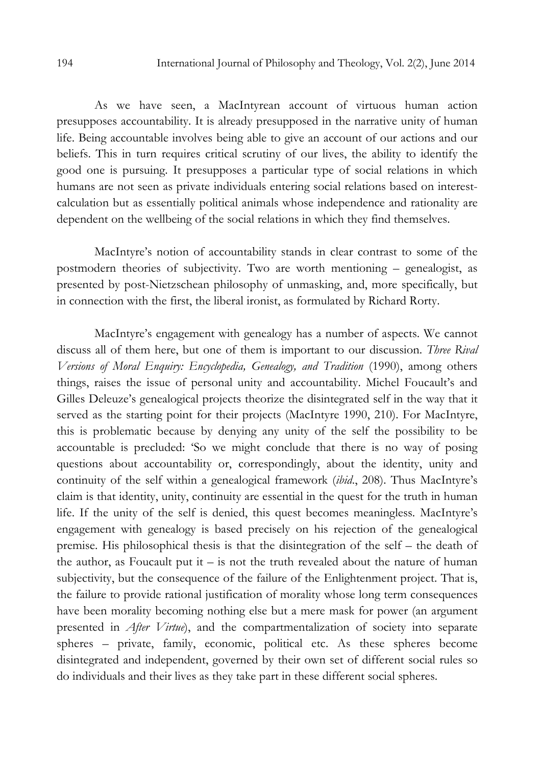As we have seen, a MacIntyrean account of virtuous human action presupposes accountability. It is already presupposed in the narrative unity of human life. Being accountable involves being able to give an account of our actions and our beliefs. This in turn requires critical scrutiny of our lives, the ability to identify the good one is pursuing. It presupposes a particular type of social relations in which humans are not seen as private individuals entering social relations based on interestcalculation but as essentially political animals whose independence and rationality are dependent on the wellbeing of the social relations in which they find themselves.

MacIntyre's notion of accountability stands in clear contrast to some of the postmodern theories of subjectivity. Two are worth mentioning – genealogist, as presented by post-Nietzschean philosophy of unmasking, and, more specifically, but in connection with the first, the liberal ironist, as formulated by Richard Rorty.

MacIntyre's engagement with genealogy has a number of aspects. We cannot discuss all of them here, but one of them is important to our discussion. *Three Rival* Versions of Moral Enquiry: Encyclopedia, Genealogy, and Tradition (1990), among others things, raises the issue of personal unity and accountability. Michel Foucault's and Gilles Deleuze's genealogical projects theorize the disintegrated self in the way that it served as the starting point for their projects (MacIntyre 1990, 210). For MacIntyre, this is problematic because by denying any unity of the self the possibility to be accountable is precluded: 'So we might conclude that there is no way of posing questions about accountability or, correspondingly, about the identity, unity and continuity of the self within a genealogical framework (ibid., 208). Thus MacIntyre's claim is that identity, unity, continuity are essential in the quest for the truth in human life. If the unity of the self is denied, this quest becomes meaningless. MacIntyre's engagement with genealogy is based precisely on his rejection of the genealogical premise. His philosophical thesis is that the disintegration of the self – the death of the author, as Foucault put it  $-$  is not the truth revealed about the nature of human subjectivity, but the consequence of the failure of the Enlightenment project. That is, the failure to provide rational justification of morality whose long term consequences have been morality becoming nothing else but a mere mask for power (an argument presented in After Virtue), and the compartmentalization of society into separate spheres – private, family, economic, political etc. As these spheres become disintegrated and independent, governed by their own set of different social rules so do individuals and their lives as they take part in these different social spheres.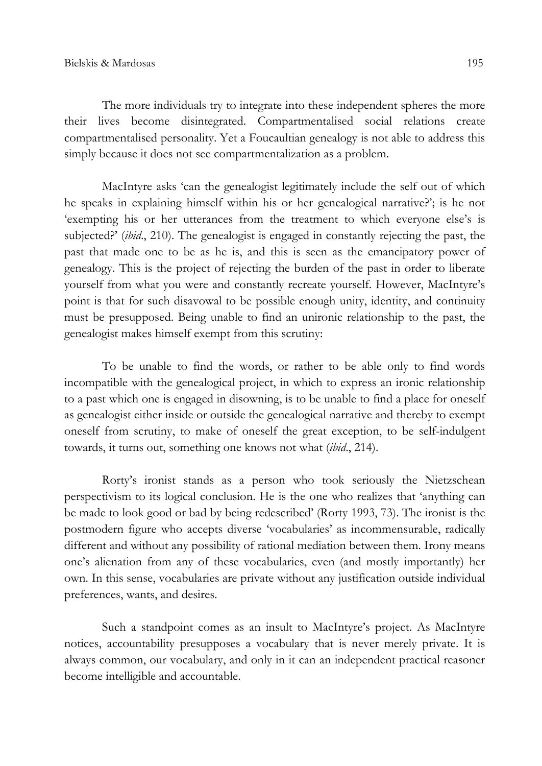The more individuals try to integrate into these independent spheres the more their lives become disintegrated. Compartmentalised social relations create compartmentalised personality. Yet a Foucaultian genealogy is not able to address this simply because it does not see compartmentalization as a problem.

MacIntyre asks 'can the genealogist legitimately include the self out of which he speaks in explaining himself within his or her genealogical narrative?'; is he not 'exempting his or her utterances from the treatment to which everyone else's is subjected?' (*ibid.*, 210). The genealogist is engaged in constantly rejecting the past, the past that made one to be as he is, and this is seen as the emancipatory power of genealogy. This is the project of rejecting the burden of the past in order to liberate yourself from what you were and constantly recreate yourself. However, MacIntyre's point is that for such disavowal to be possible enough unity, identity, and continuity must be presupposed. Being unable to find an unironic relationship to the past, the genealogist makes himself exempt from this scrutiny:

To be unable to find the words, or rather to be able only to find words incompatible with the genealogical project, in which to express an ironic relationship to a past which one is engaged in disowning, is to be unable to find a place for oneself as genealogist either inside or outside the genealogical narrative and thereby to exempt oneself from scrutiny, to make of oneself the great exception, to be self-indulgent towards, it turns out, something one knows not what *(ibid.*, 214).

Rorty's ironist stands as a person who took seriously the Nietzschean perspectivism to its logical conclusion. He is the one who realizes that 'anything can be made to look good or bad by being redescribed' (Rorty 1993, 73). The ironist is the postmodern figure who accepts diverse 'vocabularies' as incommensurable, radically different and without any possibility of rational mediation between them. Irony means one's alienation from any of these vocabularies, even (and mostly importantly) her own. In this sense, vocabularies are private without any justification outside individual preferences, wants, and desires.

Such a standpoint comes as an insult to MacIntyre's project. As MacIntyre notices, accountability presupposes a vocabulary that is never merely private. It is always common, our vocabulary, and only in it can an independent practical reasoner become intelligible and accountable.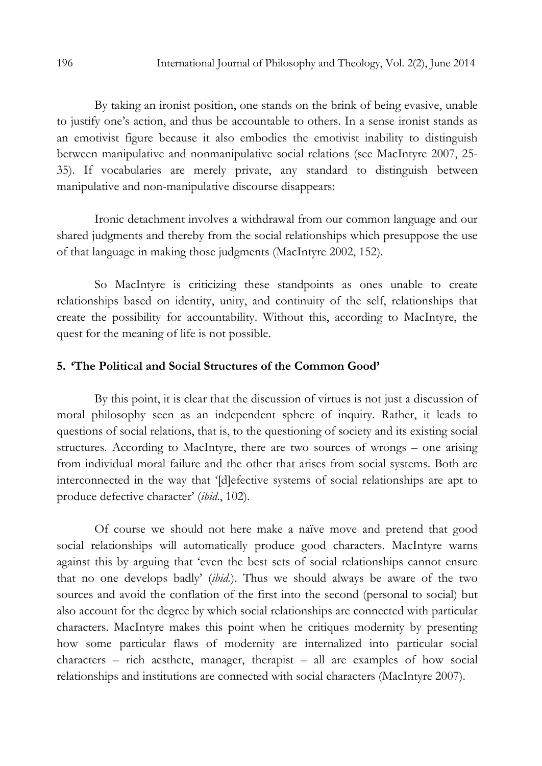By taking an ironist position, one stands on the brink of being evasive, unable to justify one's action, and thus be accountable to others. In a sense ironist stands as an emotivist figure because it also embodies the emotivist inability to distinguish between manipulative and nonmanipulative social relations (see MacIntyre 2007, 25- 35). If vocabularies are merely private, any standard to distinguish between manipulative and non-manipulative discourse disappears:

Ironic detachment involves a withdrawal from our common language and our shared judgments and thereby from the social relationships which presuppose the use of that language in making those judgments (MacIntyre 2002, 152).

So MacIntyre is criticizing these standpoints as ones unable to create relationships based on identity, unity, and continuity of the self, relationships that create the possibility for accountability. Without this, according to MacIntyre, the quest for the meaning of life is not possible.

## 5. 'The Political and Social Structures of the Common Good'

By this point, it is clear that the discussion of virtues is not just a discussion of moral philosophy seen as an independent sphere of inquiry. Rather, it leads to questions of social relations, that is, to the questioning of society and its existing social structures. According to MacIntyre, there are two sources of wrongs – one arising from individual moral failure and the other that arises from social systems. Both are interconnected in the way that '[d]efective systems of social relationships are apt to produce defective character' (ibid., 102).

Of course we should not here make a naïve move and pretend that good social relationships will automatically produce good characters. MacIntyre warns against this by arguing that 'even the best sets of social relationships cannot ensure that no one develops badly' (ibid.). Thus we should always be aware of the two sources and avoid the conflation of the first into the second (personal to social) but also account for the degree by which social relationships are connected with particular characters. MacIntyre makes this point when he critiques modernity by presenting how some particular flaws of modernity are internalized into particular social characters – rich aesthete, manager, therapist – all are examples of how social relationships and institutions are connected with social characters (MacIntyre 2007).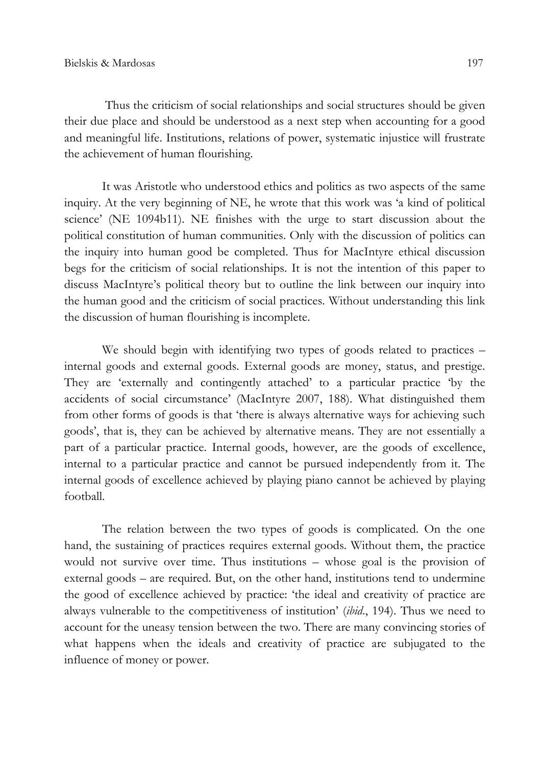Thus the criticism of social relationships and social structures should be given their due place and should be understood as a next step when accounting for a good and meaningful life. Institutions, relations of power, systematic injustice will frustrate the achievement of human flourishing.

It was Aristotle who understood ethics and politics as two aspects of the same inquiry. At the very beginning of NE, he wrote that this work was 'a kind of political science' (NE 1094b11). NE finishes with the urge to start discussion about the political constitution of human communities. Only with the discussion of politics can the inquiry into human good be completed. Thus for MacIntyre ethical discussion begs for the criticism of social relationships. It is not the intention of this paper to discuss MacIntyre's political theory but to outline the link between our inquiry into the human good and the criticism of social practices. Without understanding this link the discussion of human flourishing is incomplete.

We should begin with identifying two types of goods related to practices – internal goods and external goods. External goods are money, status, and prestige. They are 'externally and contingently attached' to a particular practice 'by the accidents of social circumstance' (MacIntyre 2007, 188). What distinguished them from other forms of goods is that 'there is always alternative ways for achieving such goods', that is, they can be achieved by alternative means. They are not essentially a part of a particular practice. Internal goods, however, are the goods of excellence, internal to a particular practice and cannot be pursued independently from it. The internal goods of excellence achieved by playing piano cannot be achieved by playing football.

The relation between the two types of goods is complicated. On the one hand, the sustaining of practices requires external goods. Without them, the practice would not survive over time. Thus institutions – whose goal is the provision of external goods – are required. But, on the other hand, institutions tend to undermine the good of excellence achieved by practice: 'the ideal and creativity of practice are always vulnerable to the competitiveness of institution' *(ibid.*, 194). Thus we need to account for the uneasy tension between the two. There are many convincing stories of what happens when the ideals and creativity of practice are subjugated to the influence of money or power.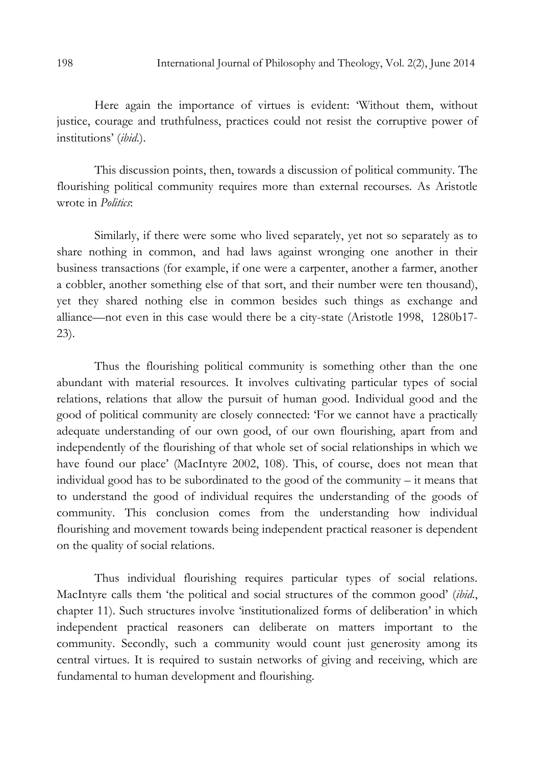Here again the importance of virtues is evident: 'Without them, without justice, courage and truthfulness, practices could not resist the corruptive power of institutions' (ibid.).

This discussion points, then, towards a discussion of political community. The flourishing political community requires more than external recourses. As Aristotle wrote in *Politics*:

Similarly, if there were some who lived separately, yet not so separately as to share nothing in common, and had laws against wronging one another in their business transactions (for example, if one were a carpenter, another a farmer, another a cobbler, another something else of that sort, and their number were ten thousand), yet they shared nothing else in common besides such things as exchange and alliance—not even in this case would there be a city-state (Aristotle 1998, 1280b17- 23).

Thus the flourishing political community is something other than the one abundant with material resources. It involves cultivating particular types of social relations, relations that allow the pursuit of human good. Individual good and the good of political community are closely connected: 'For we cannot have a practically adequate understanding of our own good, of our own flourishing, apart from and independently of the flourishing of that whole set of social relationships in which we have found our place' (MacIntyre 2002, 108). This, of course, does not mean that individual good has to be subordinated to the good of the community – it means that to understand the good of individual requires the understanding of the goods of community. This conclusion comes from the understanding how individual flourishing and movement towards being independent practical reasoner is dependent on the quality of social relations.

Thus individual flourishing requires particular types of social relations. MacIntyre calls them 'the political and social structures of the common good' (ibid., chapter 11). Such structures involve 'institutionalized forms of deliberation' in which independent practical reasoners can deliberate on matters important to the community. Secondly, such a community would count just generosity among its central virtues. It is required to sustain networks of giving and receiving, which are fundamental to human development and flourishing.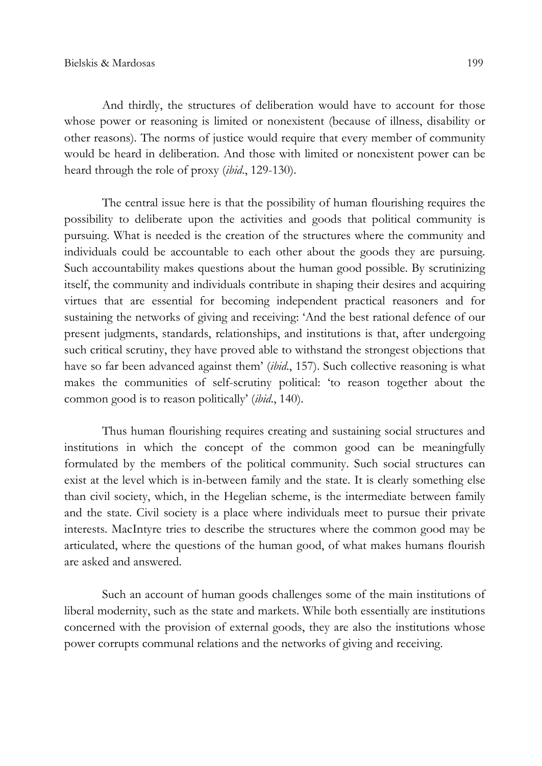And thirdly, the structures of deliberation would have to account for those whose power or reasoning is limited or nonexistent (because of illness, disability or other reasons). The norms of justice would require that every member of community would be heard in deliberation. And those with limited or nonexistent power can be heard through the role of proxy (*ibid.*, 129-130).

The central issue here is that the possibility of human flourishing requires the possibility to deliberate upon the activities and goods that political community is pursuing. What is needed is the creation of the structures where the community and individuals could be accountable to each other about the goods they are pursuing. Such accountability makes questions about the human good possible. By scrutinizing itself, the community and individuals contribute in shaping their desires and acquiring virtues that are essential for becoming independent practical reasoners and for sustaining the networks of giving and receiving: 'And the best rational defence of our present judgments, standards, relationships, and institutions is that, after undergoing such critical scrutiny, they have proved able to withstand the strongest objections that have so far been advanced against them' *(ibid.*, 157). Such collective reasoning is what makes the communities of self-scrutiny political: 'to reason together about the common good is to reason politically' (ibid., 140).

Thus human flourishing requires creating and sustaining social structures and institutions in which the concept of the common good can be meaningfully formulated by the members of the political community. Such social structures can exist at the level which is in-between family and the state. It is clearly something else than civil society, which, in the Hegelian scheme, is the intermediate between family and the state. Civil society is a place where individuals meet to pursue their private interests. MacIntyre tries to describe the structures where the common good may be articulated, where the questions of the human good, of what makes humans flourish are asked and answered.

Such an account of human goods challenges some of the main institutions of liberal modernity, such as the state and markets. While both essentially are institutions concerned with the provision of external goods, they are also the institutions whose power corrupts communal relations and the networks of giving and receiving.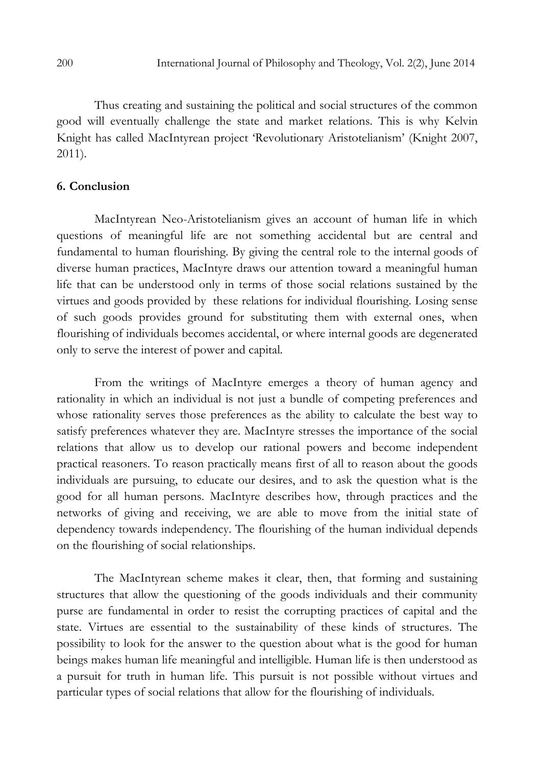Thus creating and sustaining the political and social structures of the common good will eventually challenge the state and market relations. This is why Kelvin Knight has called MacIntyrean project 'Revolutionary Aristotelianism' (Knight 2007, 2011).

## 6. Conclusion

MacIntyrean Neo-Aristotelianism gives an account of human life in which questions of meaningful life are not something accidental but are central and fundamental to human flourishing. By giving the central role to the internal goods of diverse human practices, MacIntyre draws our attention toward a meaningful human life that can be understood only in terms of those social relations sustained by the virtues and goods provided by these relations for individual flourishing. Losing sense of such goods provides ground for substituting them with external ones, when flourishing of individuals becomes accidental, or where internal goods are degenerated only to serve the interest of power and capital.

From the writings of MacIntyre emerges a theory of human agency and rationality in which an individual is not just a bundle of competing preferences and whose rationality serves those preferences as the ability to calculate the best way to satisfy preferences whatever they are. MacIntyre stresses the importance of the social relations that allow us to develop our rational powers and become independent practical reasoners. To reason practically means first of all to reason about the goods individuals are pursuing, to educate our desires, and to ask the question what is the good for all human persons. MacIntyre describes how, through practices and the networks of giving and receiving, we are able to move from the initial state of dependency towards independency. The flourishing of the human individual depends on the flourishing of social relationships.

The MacIntyrean scheme makes it clear, then, that forming and sustaining structures that allow the questioning of the goods individuals and their community purse are fundamental in order to resist the corrupting practices of capital and the state. Virtues are essential to the sustainability of these kinds of structures. The possibility to look for the answer to the question about what is the good for human beings makes human life meaningful and intelligible. Human life is then understood as a pursuit for truth in human life. This pursuit is not possible without virtues and particular types of social relations that allow for the flourishing of individuals.